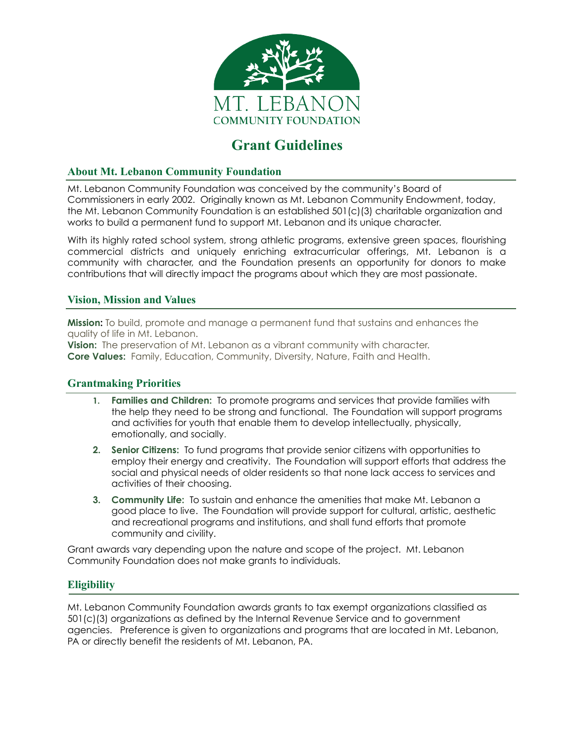

# **Grant Guidelines**

#### **About Mt. Lebanon Community Foundation**

Mt. Lebanon Community Foundation was conceived by the community's Board of Commissioners in early 2002. Originally known as Mt. Lebanon Community Endowment, today, the Mt. Lebanon Community Foundation is an established 501(c)(3) charitable organization and works to build a permanent fund to support Mt. Lebanon and its unique character.

With its highly rated school system, strong athletic programs, extensive green spaces, flourishing commercial districts and uniquely enriching extracurricular offerings, Mt. Lebanon is a community with character, and the Foundation presents an opportunity for donors to make contributions that will directly impact the programs about which they are most passionate.

# **Vision, Mission and Values**

**Mission:** To build, promote and manage a permanent fund that sustains and enhances the quality of life in Mt. Lebanon.

**Vision:** The preservation of Mt. Lebanon as a vibrant community with character. **Core Values:** Family, Education, Community, Diversity, Nature, Faith and Health.

#### **Grantmaking Priorities**

- **1. Families and Children:** To promote programs and services that provide families with the help they need to be strong and functional. The Foundation will support programs and activities for youth that enable them to develop intellectually, physically, emotionally, and socially.
- **2. Senior Citizens:** To fund programs that provide senior citizens with opportunities to employ their energy and creativity. The Foundation will support efforts that address the social and physical needs of older residents so that none lack access to services and activities of their choosing.
- **3. Community Life:** To sustain and enhance the amenities that make Mt. Lebanon a good place to live. The Foundation will provide support for cultural, artistic, aesthetic and recreational programs and institutions, and shall fund efforts that promote community and civility.

Grant awards vary depending upon the nature and scope of the project. Mt. Lebanon Community Foundation does not make grants to individuals.

# **Eligibility**

Mt. Lebanon Community Foundation awards grants to tax exempt organizations classified as 501(c)(3) organizations as defined by the Internal Revenue Service and to government agencies. Preference is given to organizations and programs that are located in Mt. Lebanon, PA or directly benefit the residents of Mt. Lebanon, PA.